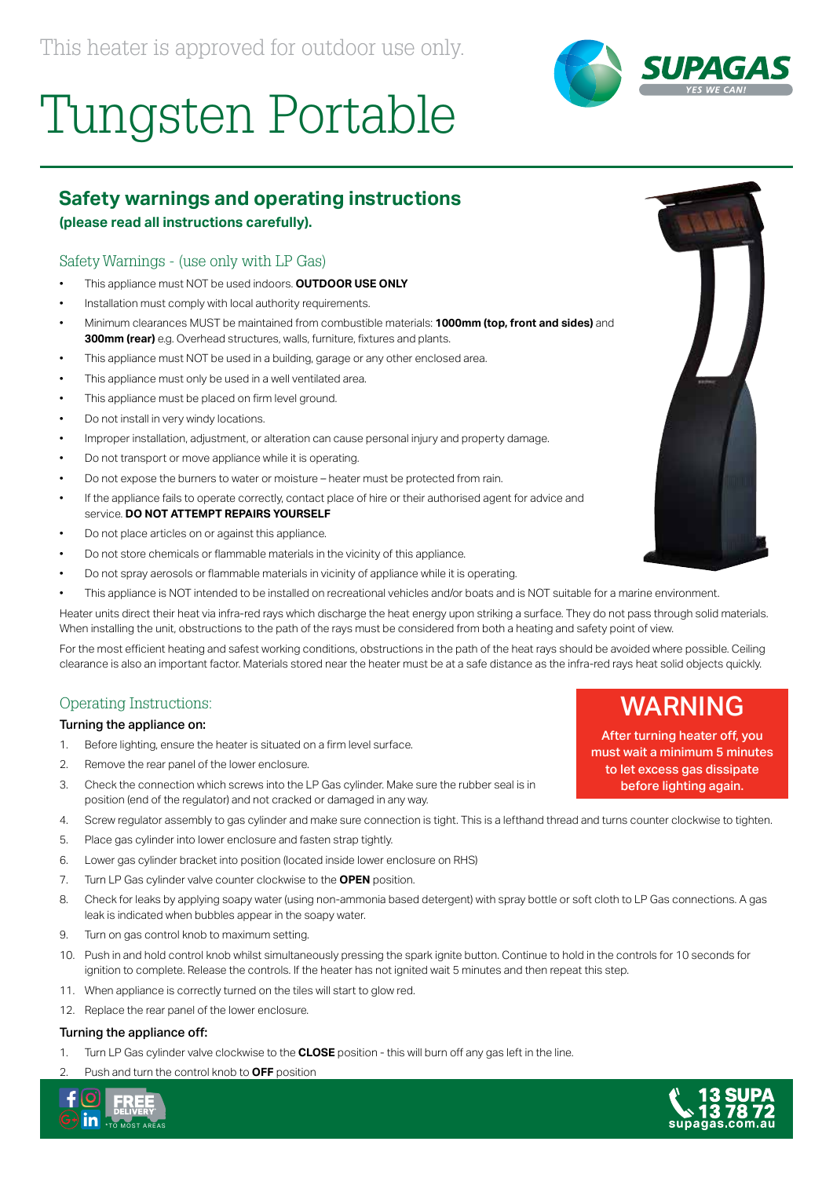# Tungsten Portable

# **Safety warnings and operating instructions**

### **(please read all instructions carefully).**

## Safety Warnings - (use only with LP Gas)

- This appliance must NOT be used indoors. **OUTDOOR USE ONLY**
- Installation must comply with local authority requirements.
- Minimum clearances MUST be maintained from combustible materials: **1000mm (top, front and sides)** and **300mm (rear)** e.g. Overhead structures, walls, furniture, fixtures and plants.
- This appliance must NOT be used in a building, garage or any other enclosed area.
- This appliance must only be used in a well ventilated area.
- This appliance must be placed on firm level ground.
- Do not install in very windy locations.
- Improper installation, adjustment, or alteration can cause personal injury and property damage.
- Do not transport or move appliance while it is operating.
- Do not expose the burners to water or moisture heater must be protected from rain.
- If the appliance fails to operate correctly, contact place of hire or their authorised agent for advice and service. **DO NOT ATTEMPT REPAIRS YOURSELF**
- Do not place articles on or against this appliance.
- Do not store chemicals or flammable materials in the vicinity of this appliance.
- Do not spray aerosols or flammable materials in vicinity of appliance while it is operating.
- This appliance is NOT intended to be installed on recreational vehicles and/or boats and is NOT suitable for a marine environment.

Heater units direct their heat via infra-red rays which discharge the heat energy upon striking a surface. They do not pass through solid materials. When installing the unit, obstructions to the path of the rays must be considered from both a heating and safety point of view.

For the most efficient heating and safest working conditions, obstructions in the path of the heat rays should be avoided where possible. Ceiling clearance is also an important factor. Materials stored near the heater must be at a safe distance as the infra-red rays heat solid objects quickly.

#### Operating Instructions:

#### Turning the appliance on:

- 1. Before lighting, ensure the heater is situated on a firm level surface.
- 2. Remove the rear panel of the lower enclosure.
- 3. Check the connection which screws into the LP Gas cylinder. Make sure the rubber seal is in position (end of the regulator) and not cracked or damaged in any way.
- 4. Screw regulator assembly to gas cylinder and make sure connection is tight. This is a lefthand thread and turns counter clockwise to tighten.
- 5. Place gas cylinder into lower enclosure and fasten strap tightly.
- 6. Lower gas cylinder bracket into position (located inside lower enclosure on RHS)
- 7. Turn LP Gas cylinder valve counter clockwise to the **OPEN** position.
- 8. Check for leaks by applying soapy water (using non-ammonia based detergent) with spray bottle or soft cloth to LP Gas connections. A gas leak is indicated when bubbles appear in the soapy water.
- 9. Turn on gas control knob to maximum setting.
- 10. Push in and hold control knob whilst simultaneously pressing the spark ignite button. Continue to hold in the controls for 10 seconds for ignition to complete. Release the controls. If the heater has not ignited wait 5 minutes and then repeat this step.
- 11. When appliance is correctly turned on the tiles will start to glow red.
- 12. Replace the rear panel of the lower enclosure.

#### Turning the appliance off:

- 1. Turn LP Gas cylinder valve clockwise to the **CLOSE** position this will burn off any gas left in the line.
- 2. Push and turn the control knob to **OFF** position







before lighting again.





SUPAG